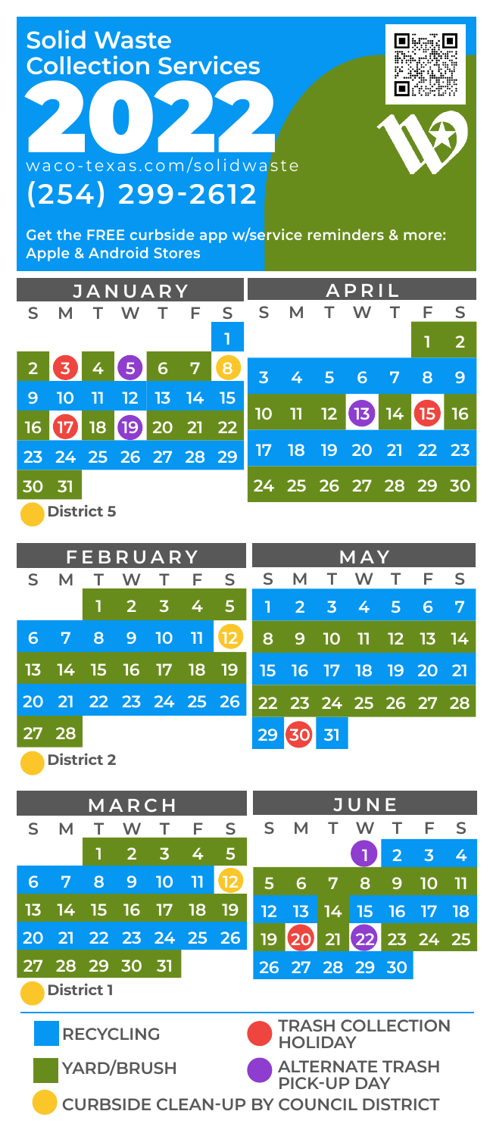**Solid Waste Collection Services**

**(254) 299-2612**

**2022** 

同期 п

**Get the FREE curbside app w/service reminders & more: Apple & Android Stores**

| <b>JANUARY</b> |                                |    |         |                      |                |           |    | APRIL                   |                             |                      |                 |           |                |  |  |
|----------------|--------------------------------|----|---------|----------------------|----------------|-----------|----|-------------------------|-----------------------------|----------------------|-----------------|-----------|----------------|--|--|
| S.             | м                              |    | w       |                      |                | F S S     |    | М                       |                             | w                    |                 | F S       |                |  |  |
|                |                                |    |         |                      |                |           |    |                         |                             |                      |                 | 1         | $\overline{2}$ |  |  |
| $\overline{2}$ | 345                            |    |         | $6\phantom{a}$       | 7 <sup>7</sup> | $\bullet$ |    |                         | $3 \quad 4 \quad 5 \quad 6$ |                      | $\overline{7}$  | 8         | 9              |  |  |
| 9              | 10                             | u٦ |         | $12 \mid 13 \mid 14$ |                | - 15.     |    |                         |                             |                      |                 |           |                |  |  |
| 16             | $\boldsymbol{\mathbf{\varpi}}$ |    | 18 (19) |                      | 20 21 22       |           | 10 | $\overline{\mathsf{H}}$ | 12                          | $\sqrt{13}$          | 14 <sup>°</sup> | <b>TE</b> | 16             |  |  |
|                |                                |    |         |                      |                |           | 17 | 18                      |                             | 19 20 21 22 23       |                 |           |                |  |  |
|                | 23 24 25 26 27 28 29           |    |         |                      |                |           |    |                         |                             |                      |                 |           |                |  |  |
| 30             | 31                             |    |         |                      |                |           |    |                         |                             | 24 25 26 27 28 29 30 |                 |           |                |  |  |
|                | <b>District 5</b>              |    |         |                      |                |           |    |                         |                             |                      |                 |           |                |  |  |

|    |                   |    |     | FEBRUARY            |  | <b>MAY</b>           |    |                      |     |  |       |  |                |
|----|-------------------|----|-----|---------------------|--|----------------------|----|----------------------|-----|--|-------|--|----------------|
| S. | М                 | т. | - W |                     |  | T F S S              |    | M                    | T W |  | T F S |  |                |
|    |                   |    |     | $1 \t2 \t3 \t4 \t5$ |  |                      |    | 1 2 3 4 5 6          |     |  |       |  | $\overline{7}$ |
| 6  | 7 8 9 10 11       |    |     |                     |  | $\sqrt{12}$          |    | 8 9 10 11 12 13 14   |     |  |       |  |                |
|    |                   |    |     |                     |  | 13 14 15 16 17 18 19 |    | 15 16 17 18 19 20 21 |     |  |       |  |                |
|    |                   |    |     |                     |  | 20 21 22 23 24 25 26 |    | 22 23 24 25 26 27 28 |     |  |       |  |                |
|    | 27 28             |    |     |                     |  |                      | 29 | SO <sub>1</sub>      | 31  |  |       |  |                |
|    | <b>District 2</b> |    |     |                     |  |                      |    |                      |     |  |       |  |                |

|                                                         |                                              |            | MARCH          |                |    | <b>JUNE</b>                           |    |                |    |      |                |       |    |
|---------------------------------------------------------|----------------------------------------------|------------|----------------|----------------|----|---------------------------------------|----|----------------|----|------|----------------|-------|----|
| S                                                       | м                                            |            | w              |                | F  | S                                     | S  | м              |    | w    | т              | F     | S  |
|                                                         |                                              | 1          | $\overline{2}$ | 3              | 4  | 5                                     |    |                |    |      | $\overline{2}$ | 3     | 4  |
| 6                                                       | 7                                            | 8          | 9              | 10             | 11 | 12                                    | 5  | 6              | 7  | 8    | 9              | 10    | 11 |
| 13                                                      | 14                                           | 15         | 16             | 17             | 18 | 19                                    | 12 | 13             | 14 | ' 15 | 16             | 17    | 18 |
| 20                                                      | -21 -                                        |            |                | 22 23 24 25 26 |    |                                       | 19 |                | 21 | 22   |                | 23 24 | 25 |
|                                                         |                                              | 28 29 30   |                | -31            |    |                                       |    | 26 27 28 29 30 |    |      |                |       |    |
| <b>District 1</b>                                       |                                              |            |                |                |    |                                       |    |                |    |      |                |       |    |
| <b>TRASH COLLECTION</b><br><b>RECYCLING</b><br>HOI IDAY |                                              |            |                |                |    |                                       |    |                |    |      |                |       |    |
|                                                         |                                              | YARD/BRUSH |                |                |    | <b>ALTERNATE TRASH</b><br>PICK-UP DAY |    |                |    |      |                |       |    |
|                                                         | <b>CURBSIDE CLEAN-UP BY COUNCIL DISTRICT</b> |            |                |                |    |                                       |    |                |    |      |                |       |    |